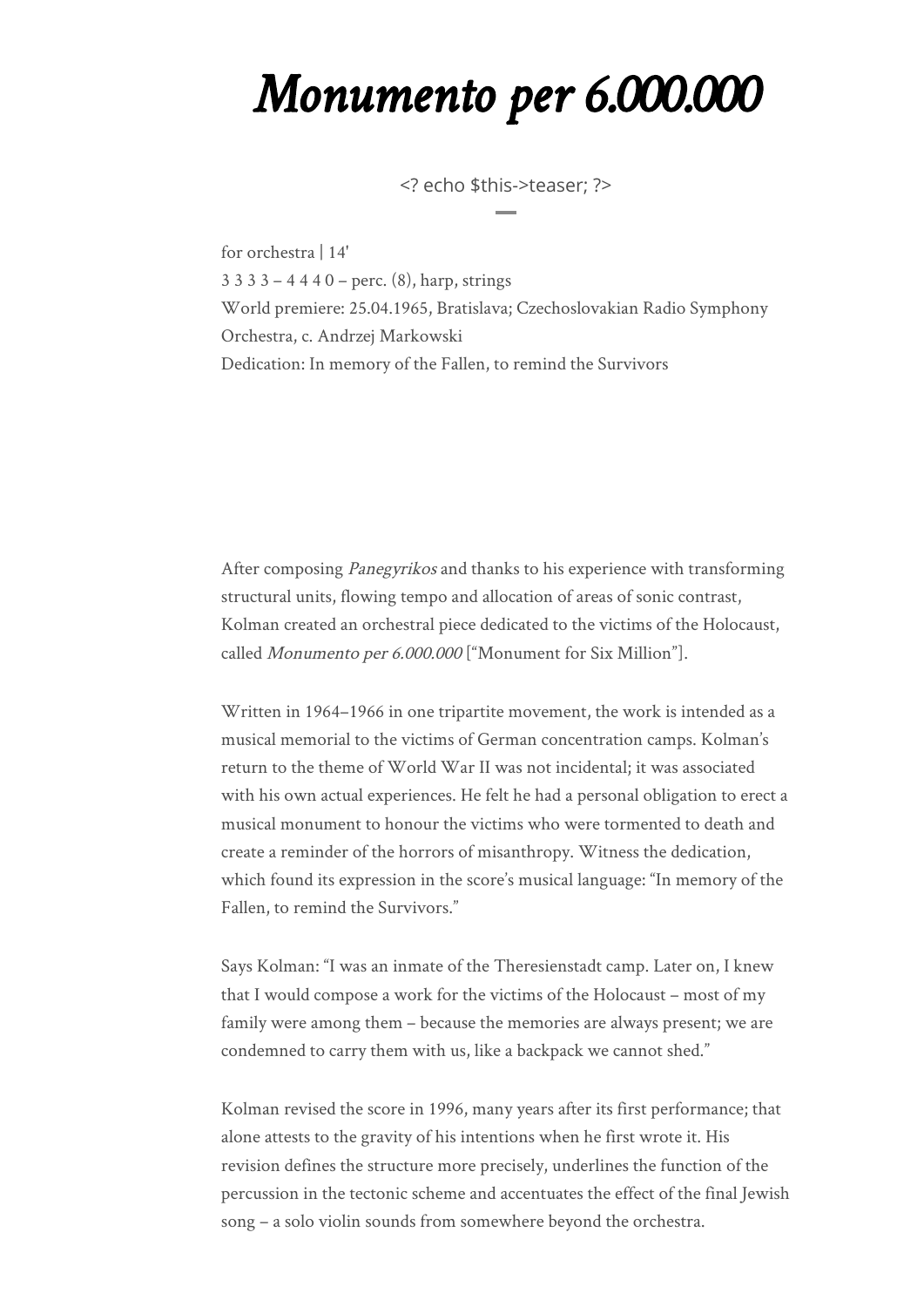## *Monumento per 6.000.000*

<? echo \$this->teaser; ?>

for orchestra | 14' 3 3 3 3 – 4 4 4 0 – perc. (8), harp, strings World premiere: 25.04.1965, Bratislava; Czechoslovakian Radio Symphony Orchestra, c. Andrzej Markowski Dedication: In memory of the Fallen, to remind the Survivors

After composing Panegyrikos and thanks to his experience with transforming structural units, flowing tempo and allocation of areas of sonic contrast, Kolman created an orchestral piece dedicated to the victims of the Holocaust, called Monumento per 6.000.000 ["Monument for Six Million"].

Written in 1964–1966 in one tripartite movement, the work is intended as a musical memorial to the victims of German concentration camps. Kolman's return to the theme of World War II was not incidental; it was associated with his own actual experiences. He felt he had a personal obligation to erect a musical monument to honour the victims who were tormented to death and create a reminder of the horrors of misanthropy. Witness the dedication, which found its expression in the score's musical language: "In memory of the Fallen, to remind the Survivors."

Says Kolman: "I was an inmate of the Theresienstadt camp. Later on, I knew that I would compose a work for the victims of the Holocaust – most of my family were among them – because the memories are always present; we are condemned to carry them with us, like a backpack we cannot shed."

Kolman revised the score in 1996, many years after its first performance; that alone attests to the gravity of his intentions when he first wrote it. His revision defines the structure more precisely, underlines the function of the percussion in the tectonic scheme and accentuates the effect of the final Jewish song – a solo violin sounds from somewhere beyond the orchestra.